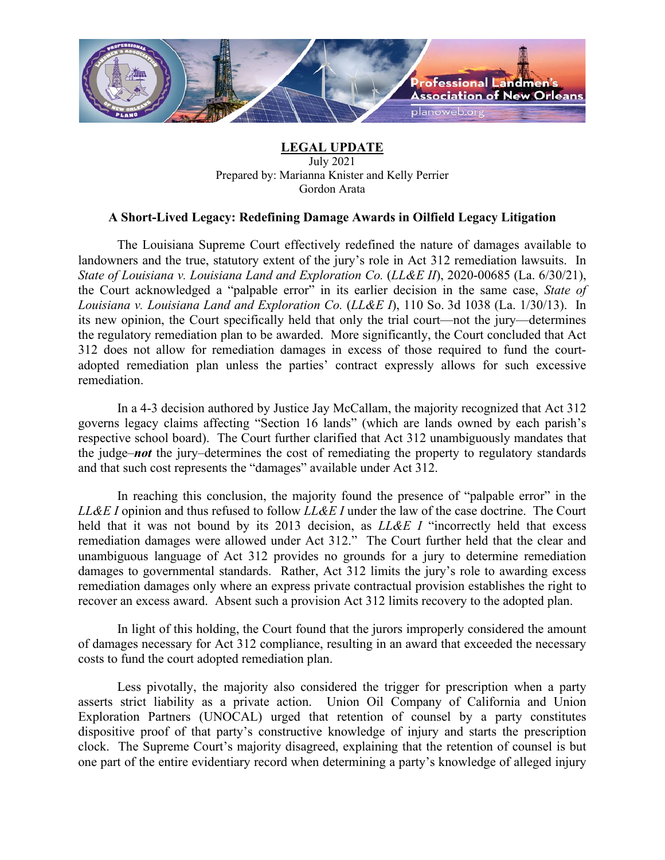

## **LEGAL UPDATE** July 2021 Prepared by: Marianna Knister and Kelly Perrier Gordon Arata

## **A Short-Lived Legacy: Redefining Damage Awards in Oilfield Legacy Litigation**

The Louisiana Supreme Court effectively redefined the nature of damages available to landowners and the true, statutory extent of the jury's role in Act 312 remediation lawsuits. In *State of Louisiana v. Louisiana Land and Exploration Co.* (*LL&E II*), 2020-00685 (La. 6/30/21), the Court acknowledged a "palpable error" in its earlier decision in the same case, *State of Louisiana v. Louisiana Land and Exploration Co.* (*LL&E I*), 110 So. 3d 1038 (La. 1/30/13). In its new opinion, the Court specifically held that only the trial court—not the jury—determines the regulatory remediation plan to be awarded. More significantly, the Court concluded that Act 312 does not allow for remediation damages in excess of those required to fund the courtadopted remediation plan unless the parties' contract expressly allows for such excessive remediation.

In a 4-3 decision authored by Justice Jay McCallam, the majority recognized that Act 312 governs legacy claims affecting "Section 16 lands" (which are lands owned by each parish's respective school board). The Court further clarified that Act 312 unambiguously mandates that the judge–*not* the jury–determines the cost of remediating the property to regulatory standards and that such cost represents the "damages" available under Act 312.

In reaching this conclusion, the majority found the presence of "palpable error" in the *LL&E I* opinion and thus refused to follow *LL&E I* under the law of the case doctrine. The Court held that it was not bound by its 2013 decision, as *LL&E I* "incorrectly held that excess remediation damages were allowed under Act 312." The Court further held that the clear and unambiguous language of Act 312 provides no grounds for a jury to determine remediation damages to governmental standards. Rather, Act 312 limits the jury's role to awarding excess remediation damages only where an express private contractual provision establishes the right to recover an excess award. Absent such a provision Act 312 limits recovery to the adopted plan.

In light of this holding, the Court found that the jurors improperly considered the amount of damages necessary for Act 312 compliance, resulting in an award that exceeded the necessary costs to fund the court adopted remediation plan.

Less pivotally, the majority also considered the trigger for prescription when a party asserts strict liability as a private action. Union Oil Company of California and Union Exploration Partners (UNOCAL) urged that retention of counsel by a party constitutes dispositive proof of that party's constructive knowledge of injury and starts the prescription clock. The Supreme Court's majority disagreed, explaining that the retention of counsel is but one part of the entire evidentiary record when determining a party's knowledge of alleged injury